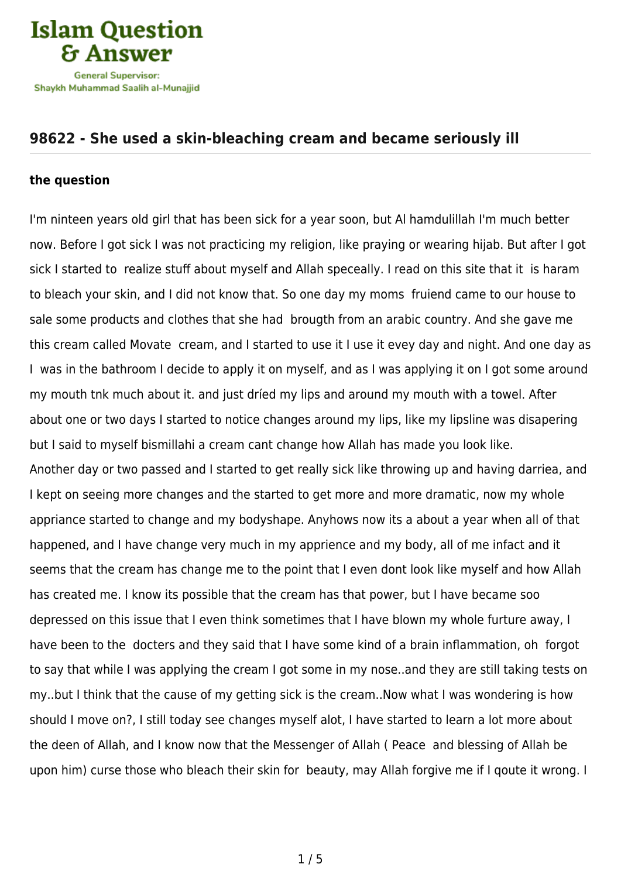

## **[98622 - She used a skin-bleaching cream and became seriously ill](https://islamqa.com/en/answers/98622/she-used-a-skin-bleaching-cream-and-became-seriously-ill)**

## **the question**

I'm ninteen years old girl that has been sick for a year soon, but Al hamdulillah I'm much better now. Before I got sick I was not practicing my religion, like praying or wearing hijab. But after I got sick I started to realize stuff about myself and Allah speceally. I read on this site that it is haram to bleach your skin, and I did not know that. So one day my moms fruiend came to our house to sale some products and clothes that she had brougth from an arabic country. And she gave me this cream called Movate cream, and I started to use it I use it evey day and night. And one day as I was in the bathroom I decide to apply it on myself, and as I was applying it on I got some around my mouth tnk much about it. and just dríed my lips and around my mouth with a towel. After about one or two days I started to notice changes around my lips, like my lipsline was disapering but I said to myself bismillahi a cream cant change how Allah has made you look like. Another day or two passed and I started to get really sick like throwing up and having darriea, and I kept on seeing more changes and the started to get more and more dramatic, now my whole appriance started to change and my bodyshape. Anyhows now its a about a year when all of that happened, and I have change very much in my apprience and my body, all of me infact and it seems that the cream has change me to the point that I even dont look like myself and how Allah has created me. I know its possible that the cream has that power, but I have became soo depressed on this issue that I even think sometimes that I have blown my whole furture away, I have been to the docters and they said that I have some kind of a brain inflammation, oh forgot to say that while I was applying the cream I got some in my nose..and they are still taking tests on my..but I think that the cause of my getting sick is the cream..Now what I was wondering is how should I move on?, I still today see changes myself alot, I have started to learn a lot more about the deen of Allah, and I know now that the Messenger of Allah ( Peace and blessing of Allah be upon him) curse those who bleach their skin for beauty, may Allah forgive me if I qoute it wrong. I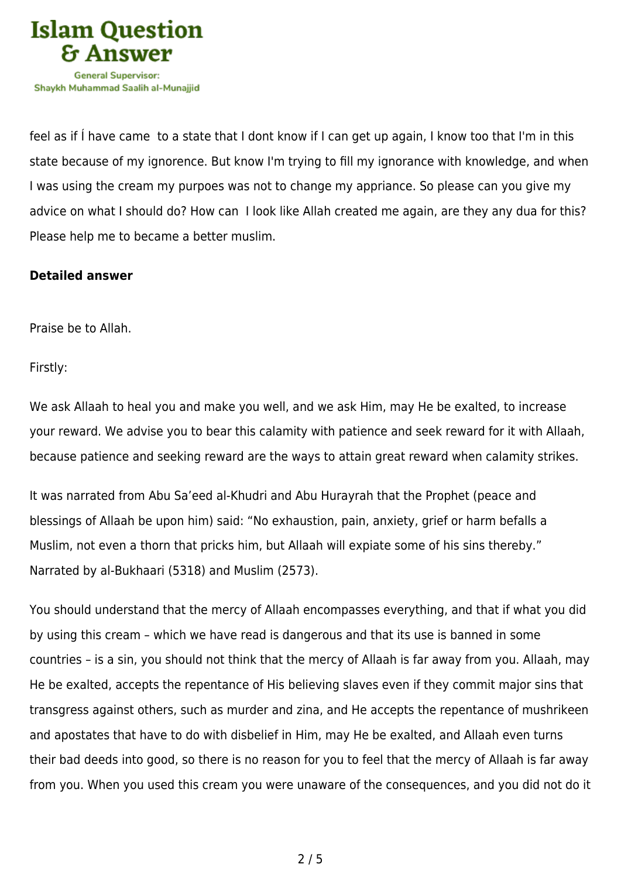

feel as if Í have came to a state that I dont know if I can get up again, I know too that I'm in this state because of my ignorence. But know I'm trying to fill my ignorance with knowledge, and when I was using the cream my purpoes was not to change my appriance. So please can you give my advice on what I should do? How can I look like Allah created me again, are they any dua for this? Please help me to became a better muslim.

## **Detailed answer**

Praise be to Allah.

Firstly:

We ask Allaah to heal you and make you well, and we ask Him, may He be exalted, to increase your reward. We advise you to bear this calamity with patience and seek reward for it with Allaah, because patience and seeking reward are the ways to attain great reward when calamity strikes.

It was narrated from Abu Sa'eed al-Khudri and Abu Hurayrah that the Prophet (peace and blessings of Allaah be upon him) said: "No exhaustion, pain, anxiety, grief or harm befalls a Muslim, not even a thorn that pricks him, but Allaah will expiate some of his sins thereby." Narrated by al-Bukhaari (5318) and Muslim (2573).

You should understand that the mercy of Allaah encompasses everything, and that if what you did by using this cream – which we have read is dangerous and that its use is banned in some countries – is a sin, you should not think that the mercy of Allaah is far away from you. Allaah, may He be exalted, accepts the repentance of His believing slaves even if they commit major sins that transgress against others, such as murder and zina, and He accepts the repentance of mushrikeen and apostates that have to do with disbelief in Him, may He be exalted, and Allaah even turns their bad deeds into good, so there is no reason for you to feel that the mercy of Allaah is far away from you. When you used this cream you were unaware of the consequences, and you did not do it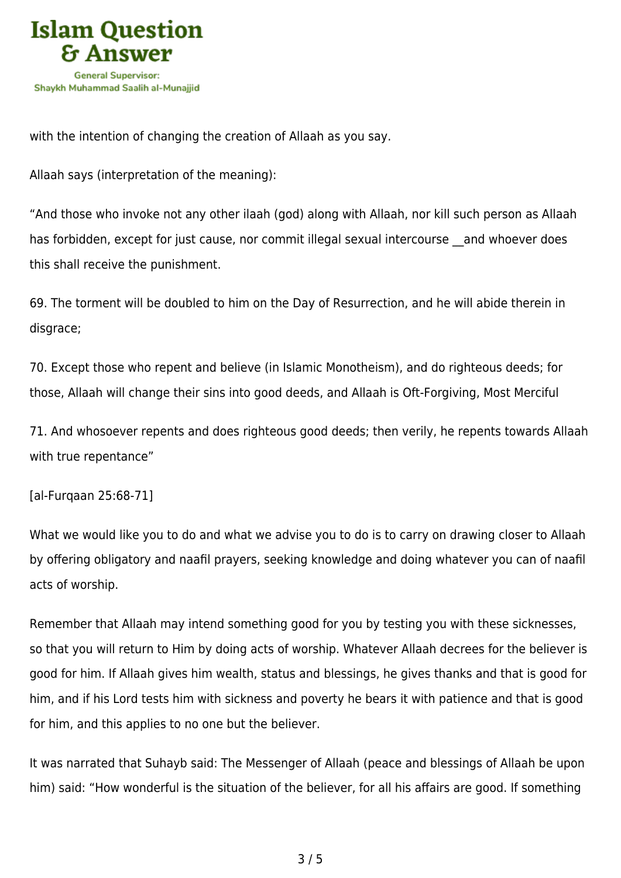

with the intention of changing the creation of Allaah as you say.

Allaah says (interpretation of the meaning):

"And those who invoke not any other ilaah (god) along with Allaah, nor kill such person as Allaah has forbidden, except for just cause, nor commit illegal sexual intercourse and whoever does this shall receive the punishment.

69. The torment will be doubled to him on the Day of Resurrection, and he will abide therein in disgrace;

70. Except those who repent and believe (in Islamic Monotheism), and do righteous deeds; for those, Allaah will change their sins into good deeds, and Allaah is Oft‑Forgiving, Most Merciful

71. And whosoever repents and does righteous good deeds; then verily, he repents towards Allaah with true repentance"

[al-Furqaan 25:68-71]

What we would like you to do and what we advise you to do is to carry on drawing closer to Allaah by offering obligatory and naafil prayers, seeking knowledge and doing whatever you can of naafil acts of worship.

Remember that Allaah may intend something good for you by testing you with these sicknesses, so that you will return to Him by doing acts of worship. Whatever Allaah decrees for the believer is good for him. If Allaah gives him wealth, status and blessings, he gives thanks and that is good for him, and if his Lord tests him with sickness and poverty he bears it with patience and that is good for him, and this applies to no one but the believer.

It was narrated that Suhayb said: The Messenger of Allaah (peace and blessings of Allaah be upon him) said: "How wonderful is the situation of the believer, for all his affairs are good. If something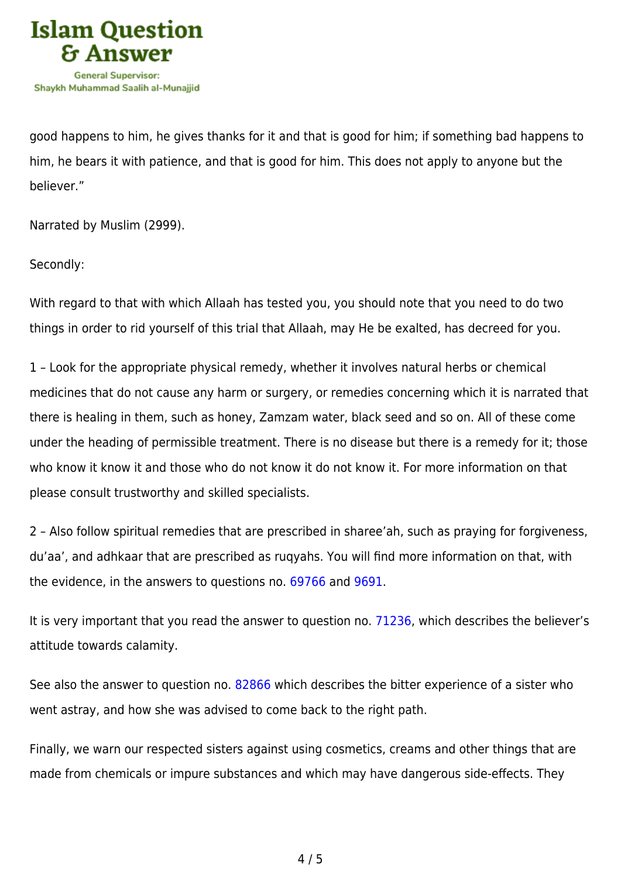

good happens to him, he gives thanks for it and that is good for him; if something bad happens to him, he bears it with patience, and that is good for him. This does not apply to anyone but the believer."

Narrated by Muslim (2999).

Secondly:

With regard to that with which Allaah has tested you, you should note that you need to do two things in order to rid yourself of this trial that Allaah, may He be exalted, has decreed for you.

1 – Look for the appropriate physical remedy, whether it involves natural herbs or chemical medicines that do not cause any harm or surgery, or remedies concerning which it is narrated that there is healing in them, such as honey, Zamzam water, black seed and so on. All of these come under the heading of permissible treatment. There is no disease but there is a remedy for it; those who know it know it and those who do not know it do not know it. For more information on that please consult trustworthy and skilled specialists.

2 – Also follow spiritual remedies that are prescribed in sharee'ah, such as praying for forgiveness, du'aa', and adhkaar that are prescribed as ruqyahs. You will find more information on that, with the evidence, in the answers to questions no. [69766](https://islamqa.com/en/answers/69766) and [9691](https://islamqa.com/en/answers/9691).

It is very important that you read the answer to question no. [71236](https://islamqa.com/en/answers/71236), which describes the believer's attitude towards calamity.

See also the answer to question no. [82866](https://islamqa.com/en/answers/82866) which describes the bitter experience of a sister who went astray, and how she was advised to come back to the right path.

Finally, we warn our respected sisters against using cosmetics, creams and other things that are made from chemicals or impure substances and which may have dangerous side-effects. They